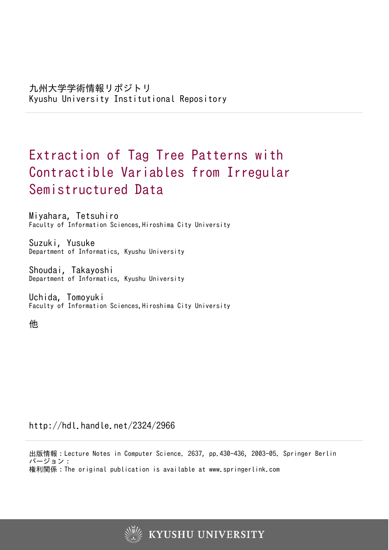# Extraction of Tag Tree Patterns with Contractible Variables from Irregular Semistructured Data

Miyahara, Tetsuhiro Faculty of Information Sciences,Hiroshima City University

Suzuki, Yusuke Department of Informatics, Kyushu University

Shoudai, Takayoshi Department of Informatics, Kyushu University

Uchida, Tomoyuki Faculty of Information Sciences,Hiroshima City University

他

http://hdl.handle.net/2324/2966

出版情報:Lecture Notes in Computer Science. 2637, pp.430-436, 2003-05. Springer Berlin バージョン: 権利関係:The original publication is available at www.springerlink.com

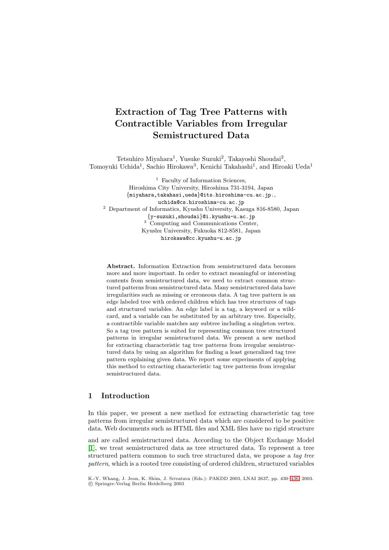## **Extraction of Tag Tree Patterns with Contractible Variables from Irregular Semistructured Data**

Tetsuhiro Miyahara<sup>1</sup>, Yusuke Suzuki<sup>2</sup>, Takayoshi Shoudai<sup>2</sup>, Tomoyuki Uchida<sup>1</sup>, Sachio Hirokawa<sup>3</sup>, Kenichi Takahashi<sup>1</sup>, and Hiroaki Ueda<sup>1</sup>

<sup>1</sup> Faculty of Information Sciences, Hiroshima City University, Hiroshima 731-3194, Japan {miyahara,takahasi,ueda}@its.hiroshima-cu.ac.jp., uchida@cs.hiroshima-cu.ac.jp <sup>2</sup> Department of Informatics, Kyushu University, Kasuga 816-8580, Japan {y-suzuki,shoudai}@i.kyushu-u.ac.jp  $3^3$  Computing and Communications Center, Kyushu University, Fukuoka 812-8581, Japan hirokawa@cc.kyushu-u.ac.jp

**Abstract.** Information Extraction from semistructured data becomes more and more important. In order to extract meaningful or interesting contents from semistructured data, we need to extract common structured patterns from semistructured data. Many semistructured data have irregularities such as missing or erroneous data. A tag tree pattern is an edge labeled tree with ordered children which has tree structures of tags and structured variables. An edge label is a tag, a keyword or a wildcard, and a variable can be substituted by an arbitrary tree. Especially, a contractible variable matches any subtree including a singleton vertex. So a tag tree pattern is suited for representing common tree structured patterns in irregular semistructured data. We present a new method for extracting characteristic tag tree patterns from irregular semistructured data by using an algorithm for finding a least generalized tag tree pattern explaining given data. We report some experiments of applying this method to extracting characteristic tag tree patterns from irregular semistructured data.

## **1 Introduction**

In this paper, we present a new method for extracting characteristic tag tree patterns from irregular semistructured data which are considered to be positive data. Web documents such as HTML files and XML files have no rigid structure

and are called semistructured data. According to the Object Exchange Model [1], we treat semistructured data as tree structured data. To represent a tree structured pattern common to such tree structured data, we propose a *tag tree pattern*, which is a rooted tree consisting of ordered children, structured variables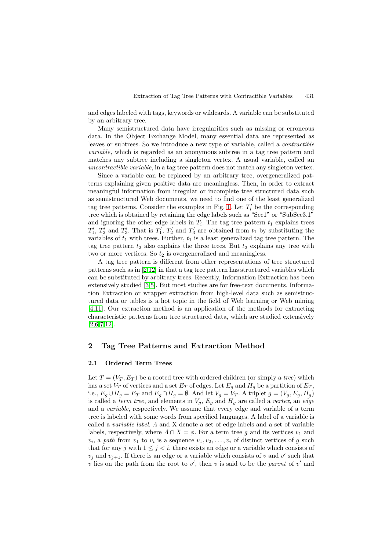and edges labeled with tags, keywords or wildcards. A variable can be substituted by an arbitrary tree.

Many semistructured data have irregularities such as missing or erroneous data. In the Object Exchange Model, many essential data are represented as leaves or subtrees. So we introduce a new type of variable, called a *contractible variable*, which is regarded as an anonymous subtree in a tag tree pattern and matches any subtree including a singleton vertex. A usual variable, called an *uncontractible variable*, in a tag tree pattern does not match any singleton vertex.

Since a variable can be replaced by an arbitrary tree, overgeneralized patterns explaining given positive data are meaningless. Then, in order to extract meaningful information from irregular or incomplete tree structured data such as semistructured Web documents, we need to find one of the least generalized tag tree patterns. Consider the examples in Fig. 1. Let  $T_i'$  be the corresponding<br>tree which is obtained by retaining the edge labels such as "Sec1" or "SubSec3.1" tree which is obtained by retaining the edge labels such as "Sec1" or "SubSec3.1" and ignoring the other edge labels in  $T_i$ . The tag tree pattern  $t_1$  explains trees  $T_1', T_2'$  and  $T_3'$ . That is  $T_1', T_2'$  and  $T_3'$  are obtained from  $t_1$  by substituting the variables of  $t_1$  with trees. Further  $t_2$  is a least generalized tag tree pattern. The variables of  $t_1$  with trees. Further,  $t_1$  is a least generalized tag tree pattern. The tag tree pattern  $t_2$  also explains the three trees. But  $t_2$  explains any tree with two or more vertices. So  $t_2$  is overgeneralized and meaningless.

A tag tree pattern is different from other representations of tree structured patterns such as in [2,12] in that a tag tree pattern has structured variables which can be substituted by arbitrary trees. Recently, Information Extraction has been extensively studied [3,5]. But most studies are for free-text documents. Information Extraction or wrapper extraction from high-level data such as semistructured data or tables is a hot topic in the field of Web learning or Web mining [4,11]. Our extraction method is an application of the methods for extracting characteristic patterns from tree structured data, which are studied extensively  $[2,6,7,12]$ .

#### **2 Tag Tree Patterns and Extraction Method**

#### **2.1 Ordered Term Trees**

Let  $T = (V_T, E_T)$  be a rooted tree with ordered children (or simply a *tree*) which has a set  $V_T$  of vertices and a set  $E_T$  of edges. Let  $E_q$  and  $H_q$  be a partition of  $E_T$ , i.e.,  $E_g \cup H_g = E_T$  and  $E_g \cap H_g = \emptyset$ . And let  $V_g = V_T$ . A triplet  $g = (V_g, E_g, H_g)$ is called a *term tree*, and elements in  $V_g$ ,  $E_g$  and  $H_g$  are called a *vertex*, an *edge* and a *variable*, respectively. We assume that every edge and variable of a term tree is labeled with some words from specified languages. A label of a variable is called a *variable label*. Λ and X denote a set of edge labels and a set of variable labels, respectively, where  $\Lambda \cap X = \phi$ . For a term tree g and its vertices  $v_1$  and  $v_i$ , a path from  $v_1$  to  $v_i$  is a sequence  $v_1, v_2, \ldots, v_i$  of distinct vertices of g such that for any j with  $1 \leq j \leq i$ , there exists an edge or a variable which consists of  $v_j$  and  $v_{j+1}$ . If there is an edge or a variable which consists of v and v' such that<br>v lies on the path from the poot to v' then v is said to be the nevert of v' and  $v$  lies on the path from the root to  $v'$ , then  $v$  is said to be the *parent* of  $v'$  and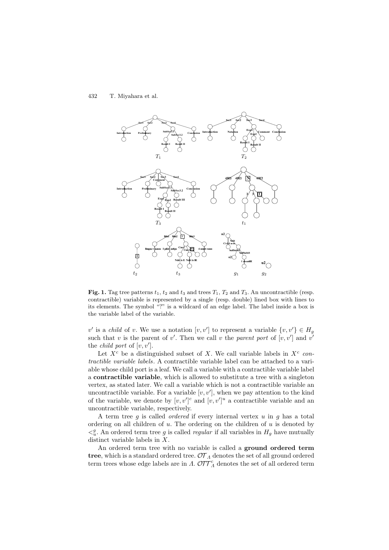

**Fig. 1.** Tag tree patterns  $t_1$ ,  $t_2$  and  $t_3$  and trees  $T_1$ ,  $T_2$  and  $T_3$ . An uncontractible (resp. contractible) variable is represented by a single (resp. double) lined box with lines to its elements. The symbol "?" is a wildcard of an edge label. The label inside a box is the variable label of the variable.

v' is a *child* of v. We use a notation  $[v, v']$  to represent a variable  $\{v, v'\} \in H_g$ <br>such that v is the parent of v'. Then we call v the parent part of  $[v, v']$  and v' such that v is the parent of v'. Then we call v the *parent port* of  $[v, v']$  and v'<br>the *child port* of  $[v, v']$ the *child port* of  $[v, v']$ .<br>Let  $X^c$  be a disting

Let  $X^c$  be a distinguished subset of X. We call variable labels in  $X^c$  *contractible variable labels*. A contractible variable label can be attached to a variable whose child port is a leaf. We call a variable with a contractible variable label a **contractible variable**, which is allowed to substitute a tree with a singleton vertex, as stated later. We call a variable which is not a contractible variable an uncontractible variable. For a variable  $[v, v']$ , when we pay attention to the kind<br>of the variable we denote by  $[v, v']^c$  and  $[v, v']^u$  a contractible variable and an of the variable, we denote by  $[v, v']^c$  and  $[v, v']^u$  a contractible variable and an uncontractible variable respectively uncontractible variable, respectively.

A term tree g is called *ordered* if every internal vertex u in g has a total ordering on all children of  $u$ . The ordering on the children of  $u$  is denoted by  $\langle \xi_u^g$ . An ordered term tree g is called *regular* if all variables in  $H_g$  have mutually distinct variable labels in X distinct variable labels in X.

An ordered term tree with no variable is called a **ground ordered term tree**, which is a standard ordered tree.  $\mathcal{OT}_A$  denotes the set of all ground ordered term trees whose edge labels are in  $\Lambda$ .  $\mathcal{O}TT^c_{\Lambda}$  denotes the set of all ordered term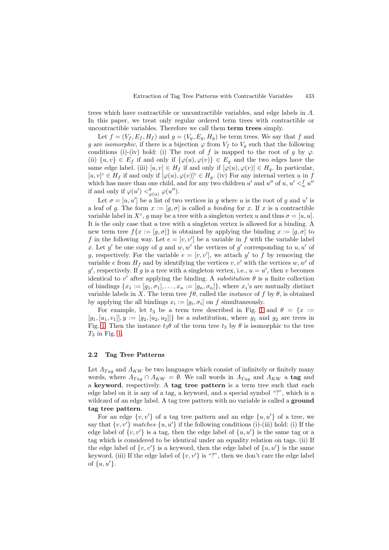trees which have contractible or uncontractible variables, and edge labels in Λ. In this paper, we treat only regular ordered term trees with contractible or uncontractible variables. Therefore we call them **term trees** simply.

Let  $f = (V_f, E_f, H_f)$  and  $g = (V_g, E_g, H_g)$  be term trees. We say that f and g are *isomorphic*, if there is a bijection  $\varphi$  from  $V_f$  to  $V_g$  such that the following conditions (i)-(iv) hold: (i) The root of f is mapped to the root of g by  $\varphi$ . (ii)  $\{u, v\} \in E_f$  if and only if  $\{\varphi(u), \varphi(v)\} \in E_q$  and the two edges have the same edge label. (iii)  $[u, v] \in H_f$  if and only if  $[\varphi(u), \varphi(v)] \in H_q$ . In particular,  $[u, v]^c \in H_f$  if and only if  $[\varphi(u), \varphi(v)]^c \in H_g$ . (iv) For any internal vertex u in f<br>which has more than one child and for any two children u' and u'' of u u'  $\leq v''$ which has more than one child, and for any two children u' and u'' of u,  $u' <_u^{\{t\}} u''$ <br>if and only if  $\varphi(u') <_{\{t\}} \varphi(u'')$ if and only if  $\varphi(u') <_{\varphi(u)}^g \varphi(u'')$ .

Let  $\sigma = [u, u']$  be a list of two vertices in g where u is the root of g and u' is<br>and  $\sigma$  as  $\sigma$  as  $\sigma$  and  $\sigma$  is called a hinding for x. If x is a contractible a leaf of g. The form  $x := [g, \sigma]$  is called a *binding* for x. If x is a contractible variable label in  $X^c$ , g may be a tree with a singleton vertex u and thus  $\sigma = [u, u]$ . It is the only case that a tree with a singleton vertex is allowed for a binding. A new term tree  $f\{x := [g, \sigma]\}\$ is obtained by applying the binding  $x := [g, \sigma]$  to f in the following way. Let  $e = [v, v']$  be a variable in f with the variable label<br>x. Let  $a'$  be one copy of a and  $w, w'$  the vertices of  $a'$  corresponding to  $u, u'$  of x. Let g' be one copy of g and w, w' the vertices of g' corresponding to u, u' of g<br>corresponding to u, u' of g respectively. For the vertishes  $e = [u, u']$  we attach g' to f by removing the g, respectively. For the variable  $e = [v, v']$ , we attach g' to f by removing the variable e from  $H_{\epsilon}$  and by identifying the vertices w y' with the vertices w y' of variable e from  $H_f$  and by identifying the vertices  $v, v'$  with the vertices  $w, w'$  of  $a'$  respectively. If a is a tree with a singleton vertex i.e.  $u = v'$  then v becomes g', respectively. If g is a tree with a singleton vertex, i.e.,  $u = u'$ , then v becomes identical to  $v'$  after applying the binding. A *substitution*  $\theta$  is a finite collection identical to v' after applying the binding. A *substitution*  $\theta$  is a finite collection<br>of bindings  $\{x_i := [a, \sigma_i] \mid x_i = [a, \sigma_i] \}$  where  $x$ 's are mutually distinct of bindings  $\{x_1 := [g_1, \sigma_1], \ldots, x_n := [g_n, \sigma_n]\}$ , where  $x_i$ 's are mutually distinct variable labels in X. The term tree  $f\theta$ , called the *instance* of f by  $\theta$ , is obtained by applying the all bindings  $x_i := [g_i, \sigma_i]$  on f simultaneously.

For example, let  $t_3$  be a term tree described in Fig. 1 and  $\theta = \{x :=$  $[g_1,[u_1,v_1]], y := [g_2,[u_2,u_2]]$  be a substitution, where  $g_1$  and  $g_2$  are trees in Fig. 1. Then the instance  $t_3\theta$  of the term tree  $t_3$  by  $\theta$  is isomorphic to the tree  $T_3$  in Fig. 1.

#### **2.2 Tag Tree Patterns**

Let  $\Lambda_{Tag}$  and  $\Lambda_{KW}$  be two languages which consist of infinitely or finitely many words, where  $\Lambda_{Tag} \cap \Lambda_{KW} = \emptyset$ . We call words in  $\Lambda_{Tag}$  and  $\Lambda_{KW}$  a tag and a **keyword**, respectively. A **tag tree pattern** is a term tree such that each edge label on it is any of a tag, a keyword, and a special symbol "?", which is a wildcard of an edge label. A tag tree pattern with no variable is called a **ground tag tree pattern**.

For an edge  $\{v, v'\}$  of a tag tree pattern and an edge  $\{u, u'\}$  of a tree, we<br>that  $\{v, v'\}$  matches  $\{u, u'\}$  if the following conditions (i) (iii) hold: (i) If the say that  $\{v, v'\}$  *matches*  $\{u, u'\}$  if the following conditions (i)-(iii) hold: (i) If the edge label of  $\{v, v'\}$  is a tag then the edge label of  $\{v, u'\}$  is the same tag or a edge label of  $\{v, v'\}$  is a tag, then the edge label of  $\{u, u'\}$  is the same tag or a<br>tag which is considered to be identical under an equality relation on tags. (ii) If tag which is considered to be identical under an equality relation on tags. (ii) If the edge label of  $\{v, v'\}$  is a keyword, then the edge label of  $\{u, u'\}$  is the same<br>keyword (iii) If the edge label of  $\{v, v'\}$  is "?" then we don't care the edge label keyword. (iii) If the edge label of  $\{v, v'\}$  is "?", then we don't care the edge label<br>of  $\{v, u'\}$ of  $\{u, u'\}.$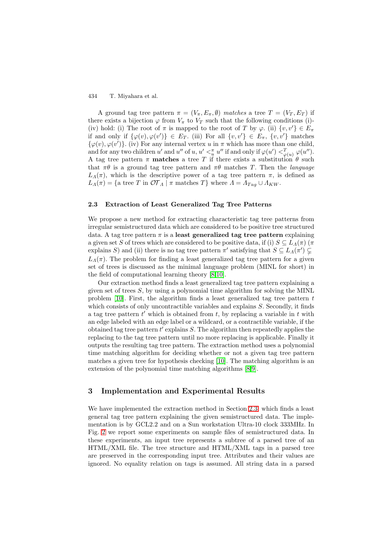A ground tag tree pattern  $\pi = (V_{\pi}, E_{\pi}, \emptyset)$  *matches* a tree  $T = (V_T, E_T)$  if there exists a bijection  $\varphi$  from  $V_\pi$  to  $V_T$  such that the following conditions (i)-(iv) hold: (i) The root of  $\pi$  is mapped to the root of T by  $\varphi$ . (ii)  $\{v, v'\} \in E_{\pi}$ <br>if and only if  $f_{\varphi}(v) \circ (v') \in E_{\pi}$  (iii) For all  $f_{\varphi} \circ v' \in E$  for  $v' \in E$  and only if  $f_{\varphi}(v') \in E_{\pi}$ if and only if  $\{\varphi(v), \varphi(v')\} \in E_T$ . (iii) For all  $\{v, v'\} \in E_{\pi}$ ,  $\{v, v'\}$  matches  $\{\varphi(v), \varphi(v')\}$ . (iv) For any internal vertex u in  $\pi$  which has more than one child,<br>and for any two children u' and u'' of u, u'  $\pi$  u'' if and only if  $\varphi(u') \leq T$  (g(u') and for any two children u' and u'' of u, u'  $\langle \xi_u^u, u'' \rangle$  if and only if  $\varphi(u') \langle \xi_u^u, \varphi(u'') \rangle$ .<br>A tag tree pattern  $\pi$  **matches** a tree T if there exists a substitution  $\theta$  such A tag tree pattern  $\pi$  **matches** a tree T if there exists a substitution  $\theta$  such<br>that  $\pi\theta$  is a ground tag tree pattern and  $\pi\theta$  matches T. Then the *language* that  $\pi\theta$  is a ground tag tree pattern and  $\pi\theta$  matches T. Then the *language*  $L_{\Lambda}(\pi)$ , which is the descriptive power of a tag tree pattern  $\pi$ , is defined as  $L_A(\pi) = \{ \text{a tree } T \text{ in } \mathcal{OT}_A \mid \pi \text{ matches } T \} \text{ where } A = A_{Tag} \cup A_{KW}.$ 

#### **2.3 Extraction of Least Generalized Tag Tree Patterns**

We propose a new method for extracting characteristic tag tree patterns from irregular semistructured data which are considered to be positive tree structured data. A tag tree pattern  $\pi$  is a **least generalized tag tree pattern** explaining a given set S of trees which are considered to be positive data, if (i)  $S \subseteq L_A(\pi)$  ( $\pi$ explains S) and (ii) there is no tag tree pattern  $\pi'$  satisfying that  $S \subseteq L_A(\pi') \subsetneq$ <br> $L_{\infty}(\pi)$ . The problem for finding a locat generalized tog tree pattern for a given  $L_\Lambda(\pi)$ . The problem for finding a least generalized tag tree pattern for a given set of trees is discussed as the minimal language problem (MINL for short) in the field of computational learning theory [8,10].

Our extraction method finds a least generalized tag tree pattern explaining a given set of trees  $S$ , by using a polynomial time algorithm for solving the MINL problem  $[10]$ . First, the algorithm finds a least generalized tag tree pattern t which consists of only uncontractible variables and explains S. Secondly, it finds a tag tree pattern  $t'$  which is obtained from  $t$ , by replacing a variable in  $t$  with<br>an edge labeled with an edge label or a wildcard, or a contractible variable if the an edge labeled with an edge label or a wildcard, or a contractible variable, if the obtained tag tree pattern  $t'$  explains  $S$ . The algorithm then repeatedly applies the replacing to the tag tree pattern until no more replacing is applicable. Finally it replacing to the tag tree pattern until no more replacing is applicable. Finally it outputs the resulting tag tree pattern. The extraction method uses a polynomial time matching algorithm for deciding whether or not a given tag tree pattern matches a given tree for hypothesis checking [10]. The matching algorithm is an extension of the polynomial time matching algorithms [8,9].

## **3 Implementation and Experimental Results**

We have implemented the extraction method in Section 2.3, which finds a least general tag tree pattern explaining the given semistructured data. The implementation is by GCL2.2 and on a Sun workstation Ultra-10 clock 333MHz. In Fig. 2 we report some experiments on sample files of semistructured data. In these experiments, an input tree represents a subtree of a parsed tree of an HTML/XML file. The tree structure and HTML/XML tags in a parsed tree are preserved in the corresponding input tree. Attributes and their values are ignored. No equality relation on tags is assumed. All string data in a parsed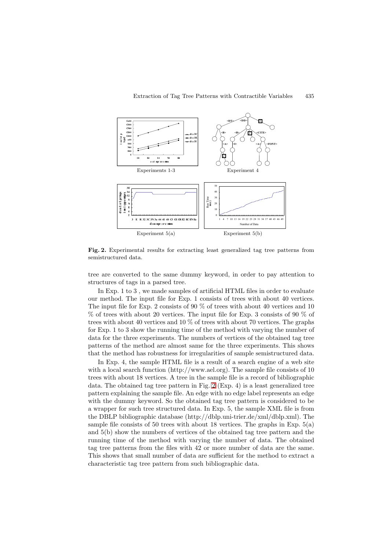

**Fig. 2.** Experimental results for extracting least generalized tag tree patterns from semistructured data.

tree are converted to the same dummy keyword, in order to pay attention to structures of tags in a parsed tree.

In Exp. 1 to 3 , we made samples of artificial HTML files in order to evaluate our method. The input file for Exp. 1 consists of trees with about 40 vertices. The input file for Exp. 2 consists of 90 % of trees with about 40 vertices and 10 % of trees with about 20 vertices. The input file for Exp. 3 consists of 90 % of trees with about 40 vertices and 10 % of trees with about 70 vertices. The graphs for Exp. 1 to 3 show the running time of the method with varying the number of data for the three experiments. The numbers of vertices of the obtained tag tree patterns of the method are almost same for the three experiments. This shows that the method has robustness for irregularities of sample semistructured data.

In Exp. 4, the sample HTML file is a result of a search engine of a web site with a local search function (http://www.ael.org). The sample file consists of 10 trees with about 18 vertices. A tree in the sample file is a record of bibliographic data. The obtained tag tree pattern in Fig. 2 (Exp. 4) is a least generalized tree pattern explaining the sample file. An edge with no edge label represents an edge with the dummy keyword. So the obtained tag tree pattern is considered to be a wrapper for such tree structured data. In Exp. 5, the sample XML file is from the DBLP bibliographic database (http://dblp.uni-trier.de/xml/dblp.xml). The sample file consists of 50 trees with about 18 vertices. The graphs in Exp.  $5(a)$ and 5(b) show the numbers of vertices of the obtained tag tree pattern and the running time of the method with varying the number of data. The obtained tag tree patterns from the files with 42 or more number of data are the same. This shows that small number of data are sufficient for the method to extract a characteristic tag tree pattern from such bibliographic data.